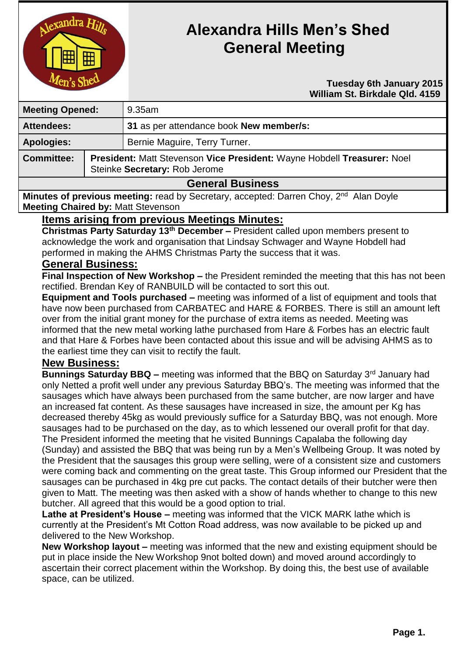

# **Alexandra Hills Men's Shed General Meeting**

#### **Tuesday 6th January 2015 William St. Birkdale Qld. 4159**

| <b>Meeting Opened:</b>  |                                                                                                          | $9.35$ am                               |
|-------------------------|----------------------------------------------------------------------------------------------------------|-----------------------------------------|
| <b>Attendees:</b>       |                                                                                                          | 31 as per attendance book New member/s: |
| <b>Apologies:</b>       |                                                                                                          | Bernie Maguire, Terry Turner.           |
| <b>Committee:</b>       | President: Matt Stevenson Vice President: Wayne Hobdell Treasurer: Noel<br>Steinke Secretary: Rob Jerome |                                         |
| <b>General Business</b> |                                                                                                          |                                         |

**Minutes of previous meeting:** read by Secretary, accepted: Darren Choy, 2<sup>nd</sup> Alan Doyle **Meeting Chaired by:** Matt Stevenson

# **Items arising from previous Meetings Minutes:**

**Christmas Party Saturday 13th December –** President called upon members present to acknowledge the work and organisation that Lindsay Schwager and Wayne Hobdell had performed in making the AHMS Christmas Party the success that it was.

## **General Business:**

**Final Inspection of New Workshop –** the President reminded the meeting that this has not been rectified. Brendan Key of RANBUILD will be contacted to sort this out.

**Equipment and Tools purchased –** meeting was informed of a list of equipment and tools that have now been purchased from CARBATEC and HARE & FORBES. There is still an amount left over from the initial grant money for the purchase of extra items as needed. Meeting was informed that the new metal working lathe purchased from Hare & Forbes has an electric fault and that Hare & Forbes have been contacted about this issue and will be advising AHMS as to the earliest time they can visit to rectify the fault.

#### **New Business:**

**Bunnings Saturday BBQ –** meeting was informed that the BBQ on Saturday 3<sup>rd</sup> January had only Netted a profit well under any previous Saturday BBQ's. The meeting was informed that the sausages which have always been purchased from the same butcher, are now larger and have an increased fat content. As these sausages have increased in size, the amount per Kg has decreased thereby 45kg as would previously suffice for a Saturday BBQ, was not enough. More sausages had to be purchased on the day, as to which lessened our overall profit for that day. The President informed the meeting that he visited Bunnings Capalaba the following day (Sunday) and assisted the BBQ that was being run by a Men's Wellbeing Group. It was noted by the President that the sausages this group were selling, were of a consistent size and customers were coming back and commenting on the great taste. This Group informed our President that the sausages can be purchased in 4kg pre cut packs. The contact details of their butcher were then given to Matt. The meeting was then asked with a show of hands whether to change to this new butcher. All agreed that this would be a good option to trial.

**Lathe at President's House –** meeting was informed that the VICK MARK lathe which is currently at the President's Mt Cotton Road address, was now available to be picked up and delivered to the New Workshop.

**New Workshop layout –** meeting was informed that the new and existing equipment should be put in place inside the New Workshop 9not bolted down) and moved around accordingly to ascertain their correct placement within the Workshop. By doing this, the best use of available space, can be utilized.